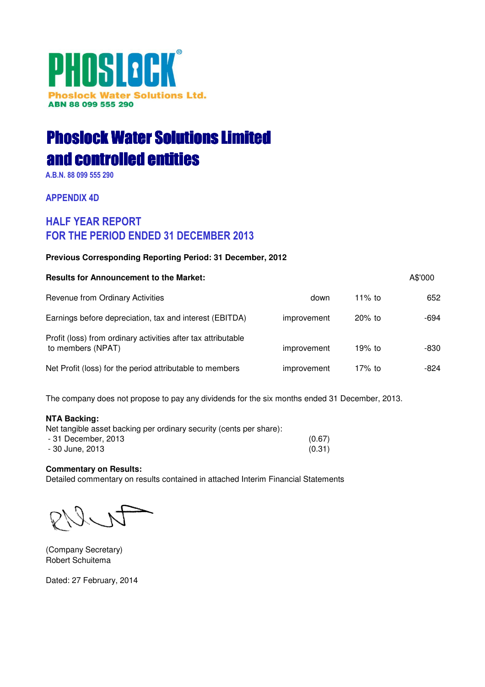# PHOSLOCK® **Phoslock Water Solutions Ltd.** ABN 88 099 555 290

# Phoslock Water Solutions Limited and controlled entities

A.B.N. 88 099 555 290

APPENDIX 4D

## HALF YEAR REPORT FOR THE PERIOD ENDED 31 DECEMBER 2013

## **Previous Corresponding Reporting Period: 31 December, 2012**

| <b>Results for Announcement to the Market:</b>                                     |             |          | A\$'000 |
|------------------------------------------------------------------------------------|-------------|----------|---------|
| <b>Revenue from Ordinary Activities</b>                                            | down        | 11% to   | 652     |
| Earnings before depreciation, tax and interest (EBITDA)                            | improvement | $20%$ to | -694    |
| Profit (loss) from ordinary activities after tax attributable<br>to members (NPAT) | improvement | $19%$ to | -830    |
| Net Profit (loss) for the period attributable to members                           | improvement | 17% to   | -824    |

The company does not propose to pay any dividends for the six months ended 31 December, 2013.

## **NTA Backing:**

| Net tangible asset backing per ordinary security (cents per share): |        |
|---------------------------------------------------------------------|--------|
| - 31 December, 2013                                                 | (0.67) |
| - 30 June, 2013                                                     | (0.31) |

## **Commentary on Results:**

Detailed commentary on results contained in attached Interim Financial Statements

(Company Secretary) Robert Schuitema

Dated: 27 February, 2014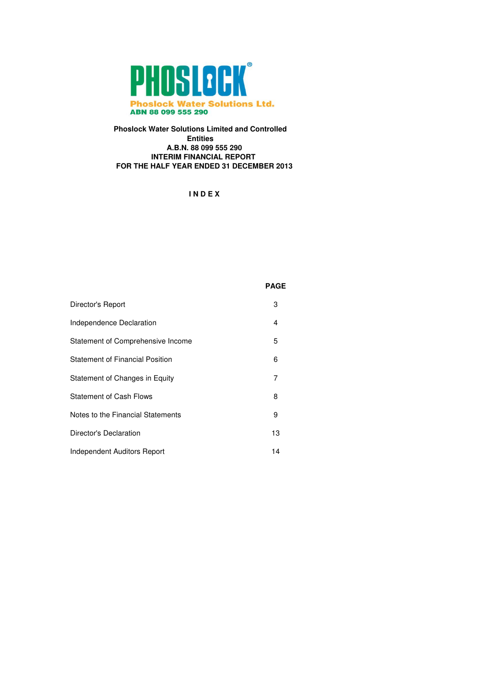

## **Phoslock Water Solutions Limited and Controlled Entities A.B.N. 88 099 555 290 INTERIM FINANCIAL REPORT FOR THE HALF YEAR ENDED 31 DECEMBER 2013**

## **I N D E X**

## **PAGE**

| Director's Report                      | 3  |
|----------------------------------------|----|
| Independence Declaration               | 4  |
| Statement of Comprehensive Income      | 5  |
| <b>Statement of Financial Position</b> | 6  |
| Statement of Changes in Equity         | 7  |
| <b>Statement of Cash Flows</b>         | 8  |
| Notes to the Financial Statements      | 9  |
| Director's Declaration                 | 13 |
| Independent Auditors Report            | 14 |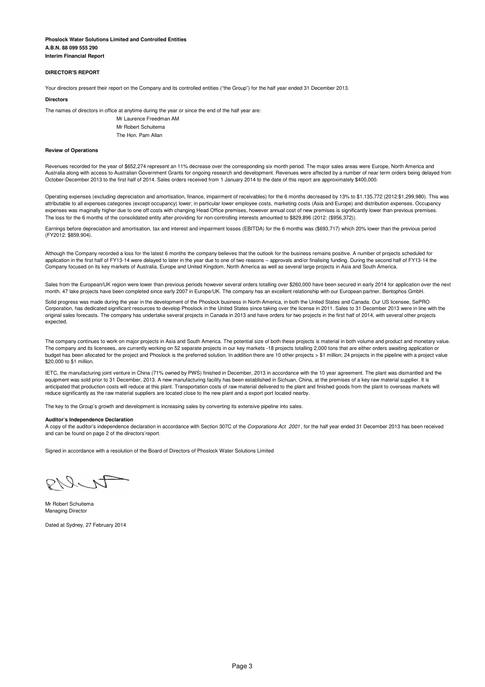**Interim Financial Report Phoslock Water Solutions Limited and Controlled Entities A.B.N. 88 099 555 290**

#### **DIRECTOR'S REPORT**

Your directors present their report on the Company and its controlled entities ("the Group") for the half year ended 31 December 2013.

#### **Directors**

The names of directors in office at anytime during the year or since the end of the half year are:

Mr Laurence Freedman AM Mr Robert Schuitema The Hon. Pam Allan

#### **Review of Operations**

Revenues recorded for the year of \$652,274 represent an 11% decrease over the corresponding six month period. The major sales areas were Europe, North America and Australia along with access to Australian Government Grants for ongoing research and development. Revenues were affected by a number of near term orders being delayed from October-December 2013 to the first half of 2014. Sales orders received from 1 January 2014 to the date of this report are approximately \$400,000.

Operating expenses (excluding depreciation and amortisation, finance, impairment of receivables) for the 6 months decreased by 13% to \$1,135,772 (2012:\$1,299,980). This was attributable to all expenses categories (except occupancy) lower; in particular lower employee costs, marketing costs (Asia and Europe) and distribution expenses. Occupancy expenses was maginally higher due to one off costs with changing Head Office premises, however annual cost of new premises is significantly lower than previous premises. The loss for the 6 months of the consolidated entity after providing for non-controlling interests amounted to \$829,896 (2012: (\$956,372)).

Earnings before depreciation and amortisation, tax and interest and impairment losses (EBITDA) for the 6 months was (\$693,717) which 20% lower than the previous period (FY2012: \$859,904).

Although the Company recorded a loss for the latest 6 months the company believes that the outlook for the business remains positive. A number of projects scheduled for application in the first half of FY13-14 were delayed to later in the year due to one of two reasons - approvals and/or finalising funding. During the second half of FY13-14 the Company focused on its key markets of Australia, Europe and United Kingdom, North America as well as several large projects in Asia and South America.

Sales from the European/UK region were lower than previous periods however several orders totalling over \$260,000 have been secured in early 2014 for application over the next month. 47 lake projects have been completed since early 2007 in Europe/UK. The company has an excellent relationship with our European partner, Bentophos GmbH.

Solid progress was made during the year in the development of the Phoslock business in North America, in both the United States and Canada. Our US licensee, SePRO Corporation, has dedicated significant resources to develop Phoslock in the United States since taking over the license in 2011. Sales to 31 December 2013 were in line with the original sales forecasts. The company has undertake several projects in Canada in 2013 and have orders for two projects in the first half of 2014, with several other projects expected.

The company continues to work on major projects in Asia and South America. The potential size of both these projects is material in both volume and product and monetary value. The company and its licensees, are currently working on 52 separate projects in our key markets -18 projects totalling 2,000 tons that are either orders awaiting application or budget has been allocated for the project and Phoslock is the preferred solution. In addition there are 10 other projects > \$1 million; 24 projects in the pipeline with a project value \$20,000 to \$1 million.

IETC, the manufacturing joint venture in China (71% owned by PWS) finished in December, 2013 in accordance with the 10 year agreement. The plant was dismantled and the equipment was sold prior to 31 December, 2013. A new manufacturing facility has been established in Sichuan, China, at the premises of a key raw material supplier. It is anticipated that production costs will reduce at this plant. Transportation costs of raw material delivered to the plant and finished goods from the plant to overseas markets will reduce significantly as the raw material suppliers are located close to the new plant and a export port located nearby.

The key to the Group's growth and development is increasing sales by converting its extensive pipeline into sales.

#### **Auditor's Independence Declaration**

A copy of the auditor's independence declaration in accordance with Section 307C of the Corporations Act 2001, for the half year ended 31 December 2013 has been received and can be found on page 2 of the directors'report.

Signed in accordance with a resolution of the Board of Directors of Phoslock Water Solutions Limited

DNI-NT

Mr Robert Schuitema Managing Director

Dated at Sydney, 27 February 2014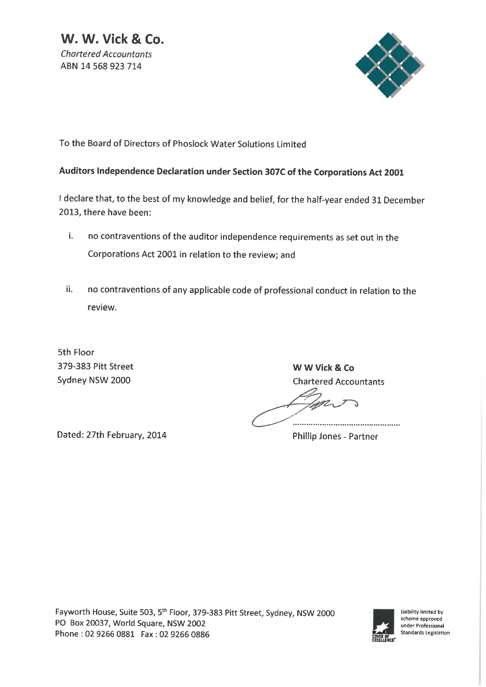W. W. Vick & Co. **Chartered Accountants** ABN 14 568 923 714



To the Board of Directors of Phoslock Water Solutions Limited

## Auditors Independence Declaration under Section 307C of the Corporations Act 2001

I declare that, to the best of my knowledge and belief, for the half-year ended 31 December 2013, there have been:

- j. no contraventions of the auditor independence requirements as set out in the Corporations Act 2001 in relation to the review; and
- no contraventions of any applicable code of professional conduct in relation to the ii. review.

5th Floor 379-383 Pitt Street Sydney NSW 2000

W W Vick & Co **Chartered Accountants** 

Dated: 27th February, 2014

**Phillip Jones - Partner** 



Liability limited by scheme approved under Professional Standards Legislation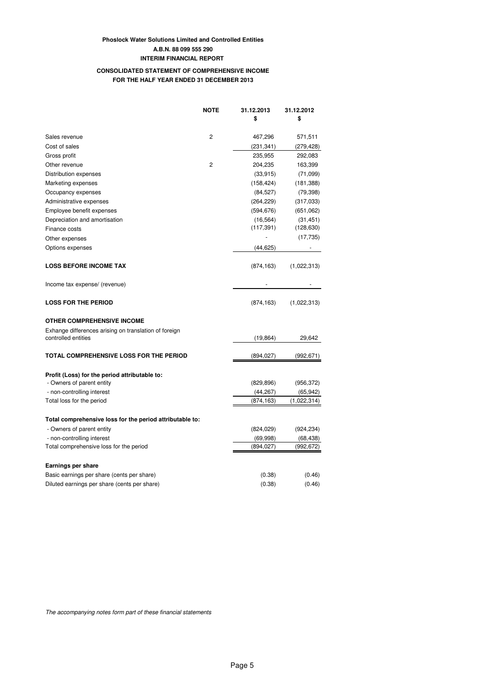### **CONSOLIDATED STATEMENT OF COMPREHENSIVE INCOME FOR THE HALF YEAR ENDED 31 DECEMBER 2013**

|                                                          | <b>NOTE</b>    | 31.12.2013<br>\$ | 31.12.2012<br>\$ |
|----------------------------------------------------------|----------------|------------------|------------------|
|                                                          |                |                  |                  |
| Sales revenue                                            | $\overline{2}$ | 467,296          | 571,511          |
| Cost of sales                                            |                | (231,341)        | (279,428)        |
| Gross profit                                             |                | 235,955          | 292,083          |
| Other revenue                                            | $\overline{2}$ | 204,235          | 163,399          |
| Distribution expenses                                    |                | (33, 915)        | (71,099)         |
| Marketing expenses                                       |                | (158, 424)       | (181, 388)       |
| Occupancy expenses                                       |                | (84, 527)        | (79, 398)        |
| Administrative expenses                                  |                | (264, 229)       | (317,033)        |
| Employee benefit expenses                                |                | (594, 676)       | (651,062)        |
| Depreciation and amortisation                            |                | (16, 564)        | (31, 451)        |
| Finance costs                                            |                | (117, 391)       | (128, 630)       |
| Other expenses                                           |                |                  | (17, 735)        |
| Options expenses                                         |                | (44, 625)        |                  |
| <b>LOSS BEFORE INCOME TAX</b>                            |                | (874, 163)       | (1,022,313)      |
| Income tax expense/ (revenue)                            |                |                  |                  |
| <b>LOSS FOR THE PERIOD</b>                               |                | (874, 163)       | (1,022,313)      |
| <b>OTHER COMPREHENSIVE INCOME</b>                        |                |                  |                  |
| Exhange differences arising on translation of foreign    |                |                  |                  |
| controlled entities                                      |                | (19, 864)        | 29,642           |
| <b>TOTAL COMPREHENSIVE LOSS FOR THE PERIOD</b>           |                | (894, 027)       | (992, 671)       |
| Profit (Loss) for the period attributable to:            |                |                  |                  |
| - Owners of parent entity                                |                | (829, 896)       | (956, 372)       |
| - non-controlling interest                               |                | (44,267)         | (65, 942)        |
| Total loss for the period                                |                | (874, 163)       | (1,022,314)      |
| Total comprehensive loss for the period attributable to: |                |                  |                  |
| - Owners of parent entity                                |                | (824, 029)       | (924, 234)       |
| - non-controlling interest                               |                | (69,998)         | (68, 438)        |
| Total comprehensive loss for the period                  |                | (894, 027)       | (992, 672)       |
| Earnings per share                                       |                |                  |                  |
| Basic earnings per share (cents per share)               |                | (0.38)           | (0.46)           |
| Diluted earnings per share (cents per share)             |                | (0.38)           | (0.46)           |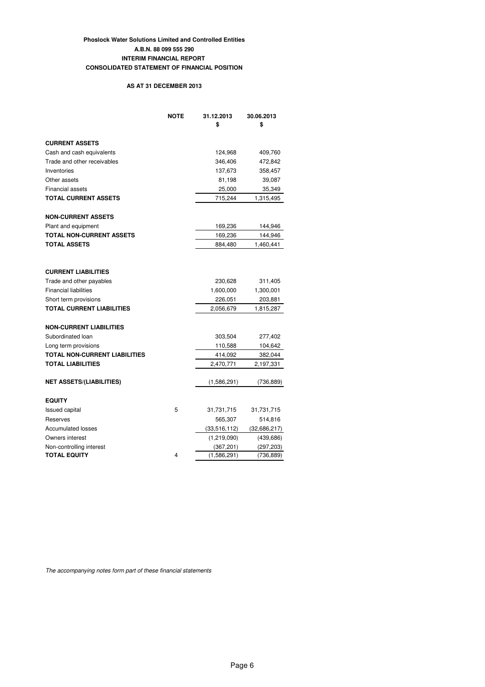## **Phoslock Water Solutions Limited and Controlled Entities A.B.N. 88 099 555 290 CONSOLIDATED STATEMENT OF FINANCIAL POSITION INTERIM FINANCIAL REPORT**

## **AS AT 31 DECEMBER 2013**

|                                  | <b>NOTE</b> | 31.12.2013<br>\$ | 30.06.2013<br>\$ |
|----------------------------------|-------------|------------------|------------------|
| <b>CURRENT ASSETS</b>            |             |                  |                  |
| Cash and cash equivalents        |             | 124,968          | 409,760          |
| Trade and other receivables      |             | 346,406          | 472,842          |
| Inventories                      |             | 137,673          | 358,457          |
| Other assets                     |             | 81,198           | 39,087           |
| <b>Financial assets</b>          |             | 25,000           | 35,349           |
| <b>TOTAL CURRENT ASSETS</b>      |             | 715,244          | 1,315,495        |
| <b>NON-CURRENT ASSETS</b>        |             |                  |                  |
| Plant and equipment              |             | 169,236          | 144,946          |
| TOTAL NON-CURRENT ASSETS         |             | 169,236          | 144,946          |
| <b>TOTAL ASSETS</b>              |             | 884,480          | 1,460,441        |
| <b>CURRENT LIABILITIES</b>       |             |                  |                  |
| Trade and other payables         |             | 230,628          | 311,405          |
| <b>Financial liabilities</b>     |             | 1,600,000        | 1,300,001        |
| Short term provisions            |             | 226,051          | 203,881          |
| <b>TOTAL CURRENT LIABILITIES</b> |             | 2,056,679        | 1,815,287        |
| <b>NON-CURRENT LIABILITIES</b>   |             |                  |                  |
| Subordinated loan                |             | 303,504          | 277,402          |
| Long term provisions             |             | 110,588          | 104,642          |
| TOTAL NON-CURRENT LIABILITIES    |             | 414,092          | 382,044          |
| <b>TOTAL LIABILITIES</b>         |             | 2,470,771        | 2,197,331        |
| <b>NET ASSETS/(LIABILITIES)</b>  |             | (1,586,291)      | (736, 889)       |
| <b>EQUITY</b>                    |             |                  |                  |
| <b>Issued capital</b>            | 5           | 31,731,715       | 31,731,715       |
| Reserves                         |             | 565,307          | 514,816          |
| <b>Accumulated losses</b>        |             | (33,516,112)     | (32,686,217)     |
| Owners interest                  |             | (1,219,090)      | (439, 686)       |
| Non-controlling interest         |             | (367, 201)       | (297, 203)       |
| <b>TOTAL EQUITY</b>              | 4           | (1,586,291)      | (736,889)        |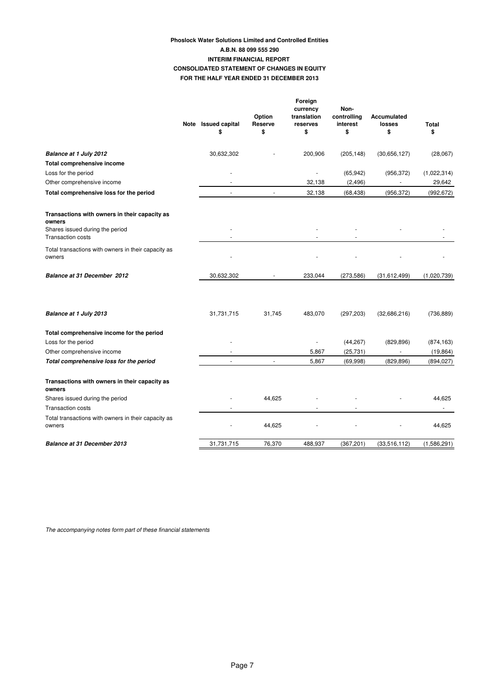## **Phoslock Water Solutions Limited and Controlled Entities FOR THE HALF YEAR ENDED 31 DECEMBER 2013 CONSOLIDATED STATEMENT OF CHANGES IN EQUITY A.B.N. 88 099 555 290 INTERIM FINANCIAL REPORT**

|                                                               | Note Issued capital<br>\$ | Option<br>Reserve<br>\$ | Foreign<br>currency<br>translation<br>reserves<br>\$ | Non-<br>controlling<br>interest<br>\$ | Accumulated<br>losses<br>\$ | <b>Total</b><br>\$ |
|---------------------------------------------------------------|---------------------------|-------------------------|------------------------------------------------------|---------------------------------------|-----------------------------|--------------------|
| Balance at 1 July 2012                                        | 30,632,302                |                         | 200,906                                              | (205, 148)                            | (30,656,127)                | (28,067)           |
| Total comprehensive income                                    |                           |                         |                                                      |                                       |                             |                    |
| Loss for the period                                           |                           |                         |                                                      | (65, 942)                             | (956, 372)                  | (1,022,314)        |
| Other comprehensive income                                    |                           |                         | 32,138                                               | (2, 496)                              |                             | 29,642             |
| Total comprehensive loss for the period                       |                           |                         | 32,138                                               | (68, 438)                             | (956, 372)                  | (992, 672)         |
| Transactions with owners in their capacity as<br>owners       |                           |                         |                                                      |                                       |                             |                    |
| Shares issued during the period                               |                           |                         |                                                      |                                       |                             |                    |
| <b>Transaction costs</b>                                      | $\sim$                    |                         | $\sim$                                               | $\overline{\phantom{a}}$              |                             | $\sim$             |
| Total transactions with owners in their capacity as<br>owners |                           |                         |                                                      |                                       |                             |                    |
| Balance at 31 December 2012                                   | 30,632,302                |                         | 233,044                                              | (273, 586)                            | (31,612,499)                | (1,020,739)        |
| Balance at 1 July 2013                                        | 31,731,715                | 31,745                  | 483,070                                              | (297, 203)                            | (32,686,216)                | (736, 889)         |
| Total comprehensive income for the period                     |                           |                         |                                                      |                                       |                             |                    |
| Loss for the period                                           |                           |                         | ä,                                                   | (44, 267)                             | (829, 896)                  | (874, 163)         |
| Other comprehensive income                                    |                           |                         | 5,867                                                | (25, 731)                             |                             | (19, 864)          |
| Total comprehensive loss for the period                       | ÷.                        | $\sim$                  | 5,867                                                | (69,998)                              | (829, 896)                  | (894, 027)         |
| Transactions with owners in their capacity as<br>owners       |                           |                         |                                                      |                                       |                             |                    |
| Shares issued during the period                               |                           | 44,625                  |                                                      |                                       |                             | 44,625             |
| <b>Transaction costs</b>                                      |                           |                         |                                                      |                                       |                             |                    |
| Total transactions with owners in their capacity as<br>owners |                           | 44,625                  |                                                      |                                       |                             | 44,625             |
| Balance at 31 December 2013                                   | 31,731,715                | 76,370                  | 488,937                                              | (367, 201)                            | (33,516,112)                | (1,586,291)        |
|                                                               |                           |                         |                                                      |                                       |                             |                    |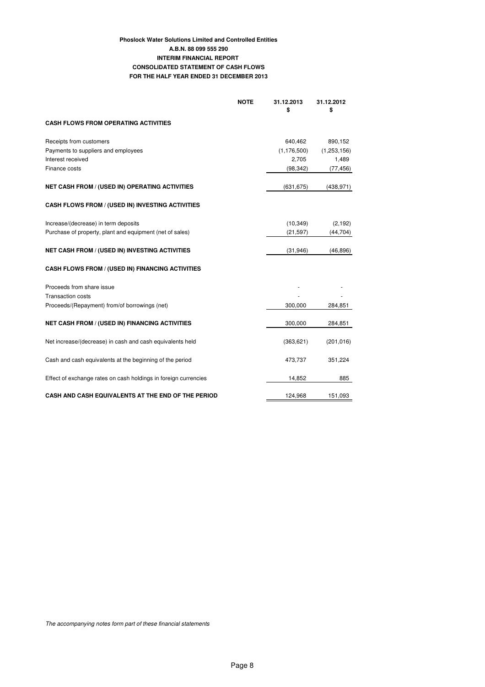## **Phoslock Water Solutions Limited and Controlled Entities CONSOLIDATED STATEMENT OF CASH FLOWS FOR THE HALF YEAR ENDED 31 DECEMBER 2013 A.B.N. 88 099 555 290 INTERIM FINANCIAL REPORT**

|                                                                 | <b>NOTE</b> | 31.12.2013<br>\$ | 31.12.2012<br>\$ |
|-----------------------------------------------------------------|-------------|------------------|------------------|
| <b>CASH FLOWS FROM OPERATING ACTIVITIES</b>                     |             |                  |                  |
| Receipts from customers                                         |             | 640,462          | 890,152          |
| Payments to suppliers and employees                             |             | (1, 176, 500)    | (1, 253, 156)    |
| Interest received                                               |             | 2,705            | 1,489            |
| Finance costs                                                   |             | (98, 342)        | (77, 456)        |
| <b>NET CASH FROM / (USED IN) OPERATING ACTIVITIES</b>           |             | (631, 675)       | (438, 971)       |
| CASH FLOWS FROM / (USED IN) INVESTING ACTIVITIES                |             |                  |                  |
| Increase/(decrease) in term deposits                            |             | (10, 349)        | (2, 192)         |
| Purchase of property, plant and equipment (net of sales)        |             | (21, 597)        | (44, 704)        |
| <b>NET CASH FROM / (USED IN) INVESTING ACTIVITIES</b>           |             | (31, 946)        | (46, 896)        |
| <b>CASH FLOWS FROM / (USED IN) FINANCING ACTIVITIES</b>         |             |                  |                  |
| Proceeds from share issue                                       |             |                  |                  |
| <b>Transaction costs</b>                                        |             |                  |                  |
| Proceeds/(Repayment) from/of borrowings (net)                   |             | 300,000          | 284,851          |
| <b>NET CASH FROM / (USED IN) FINANCING ACTIVITIES</b>           |             | 300,000          | 284,851          |
| Net increase/(decrease) in cash and cash equivalents held       |             | (363, 621)       | (201, 016)       |
| Cash and cash equivalents at the beginning of the period        |             | 473,737          | 351,224          |
| Effect of exchange rates on cash holdings in foreign currencies |             | 14,852           | 885              |
| CASH AND CASH EQUIVALENTS AT THE END OF THE PERIOD              |             | 124,968          | 151,093          |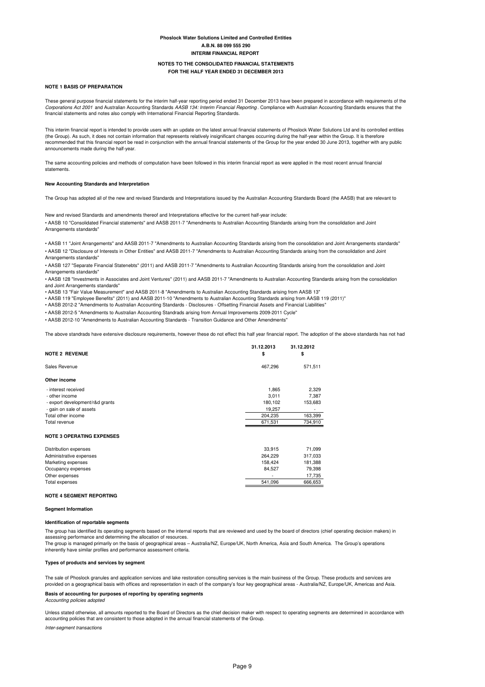## **NOTES TO THE CONSOLIDATED FINANCIAL STATEMENTS**

#### **FOR THE HALF YEAR ENDED 31 DECEMBER 2013**

#### **NOTE 1 BASIS OF PREPARATION**

These general purpose financial statements for the interim half-year reporting period ended 31 December 2013 have been prepared in accordance with requirements of the Corporations Act 2001 and Australian Accounting Standards AASB 134: Interim Financial Reporting. Compliance with Australian Accounting Standards ensures that the financial statements and notes also comply with International Financial Reporting Standards.

This interim financial report is intended to provide users with an update on the latest annual financial statements of Phoslock Water Solutions Ltd and its controlled entities (the Group). As such, it does not contain information that represents relatively insignificant changes occurring during the half-year within the Group. It is therefore<br>recommended that this financial report be read in conj announcements made during the half-year.

The same accounting policies and methods of computation have been followed in this interim financial report as were applied in the most recent annual financial statements.

#### **New Accounting Standards and Interpretation**

The Group has adopted all of the new and revised Standards and Interpretations issued by the Australian Accounting Standards Board (the AASB) that are relevant to

New and revised Standards and amendments thereof and Interpretations effective for the current half-year include: • AASB 10 "Consolidated Financial statements" and AASB 2011-7 "Amendments to Australian Accounting Standards arising from the consolidation and Joint Arrangements standards"

• AASB 11 "Joint Arrangements" and AASB 2011-7 "Amendments to Australian Accounting Standards arising from the consolidation and Joint Arrangements standards" • AASB 12 "Disclosure of Interests in Other Entities" and AASB 2011-7 "Amendments to Australian Accounting Standards arising from the consolidation and Joint Arrangements standards"

• AASB 127 "Separate Financial Statenebts" (2011) and AASB 2011-7 "Amendments to Australian Accounting Standards arising from the consolidation and Joint Arrangements standards"

• AASB 128 "Investments in Associates and Joint Ventures" (2011) and AASB 2011-7 "Amendments to Australian Accounting Standards arising from the consolidation and Joint Arrangements standards'

• AASB 13 "Fair Value Measurement" and AASB 2011-8 "Amendments to Australian Accounting Standards arising from AASB 13"

• AASB 119 "Employee Benefits" (2011) and AASB 2011-10 "Amendments to Australian Accounting Standards arising from AASB 119 (2011)" • AASB 2012-2 "Amendments to Australian Accounting Standards - Disclosures - Offsetting Financial Assets and Financial Liabilities"

• AASB 2012-5 "Amendments to Australian Accounting Standrads arising from Annual Improvements 2009-2011 Cycle"

• AASB 2012-10 "Amendments to Australian Accounting Standards - Transition Guidance and Other Amendments"

The above standrads have extensive disclosure requirements, however these do not effect this half year financial report. The adoption of the above standards has not had

| <b>NOTE 2 REVENUE</b>            | 31.12.2013<br>\$ | 31.12.2012<br>\$ |
|----------------------------------|------------------|------------------|
| Sales Revenue                    | 467,296          | 571,511          |
| Other income                     |                  |                  |
| - interest received              | 1,865            | 2,329            |
| - other income                   | 3,011            | 7,387            |
| - export development/r&d grants  | 180,102          | 153,683          |
| - gain on sale of assets         | 19,257           |                  |
| Total other income               | 204,235          | 163,399          |
| Total revenue                    | 671,531          | 734,910          |
| <b>NOTE 3 OPERATING EXPENSES</b> |                  |                  |
| Distribution expenses            | 33,915           | 71,099           |
| Administrative expenses          | 264,229          | 317,033          |
| Marketing expenses               | 158,424          | 181,388          |
| Occupancy expenses               | 84,527           | 79,398           |
| Other expenses                   |                  | 17,735           |
| Total expenses                   | 541,096          | 666,653          |

#### **NOTE 4 SEGMENT REPORTING**

#### **Segment Information**

#### **Identification of reportable segments**

The group has identified its operating segments based on the internal reports that are reviewed and used by the board of directors (chief operating decision makers) in

assessing performance and determining the allocation of resources.<br>The group is managed primarily on the basis of geographical areas – Australia/NZ, Europe/UK, North America, Asia and South America. The Group's operations inherently have similar profiles and performance assessment criteria.

#### **Types of products and services by segment**

The sale of Phoslock granules and application services and lake restoration consulting services is the main business of the Group. These products and services are provided on a geographical basis with offices and representation in each of the company's four key geographical areas - Australia/NZ, Europe/UK, Americas and Asia.

#### **Basis of accounting for purposes of reporting by operating segments**

Accounting policies adopted

Unless stated otherwise, all amounts reported to the Board of Directors as the chief decision maker with respect to operating segments are determined in accordance with accounting policies that are consistent to those adopted in the annual financial statements of the Group.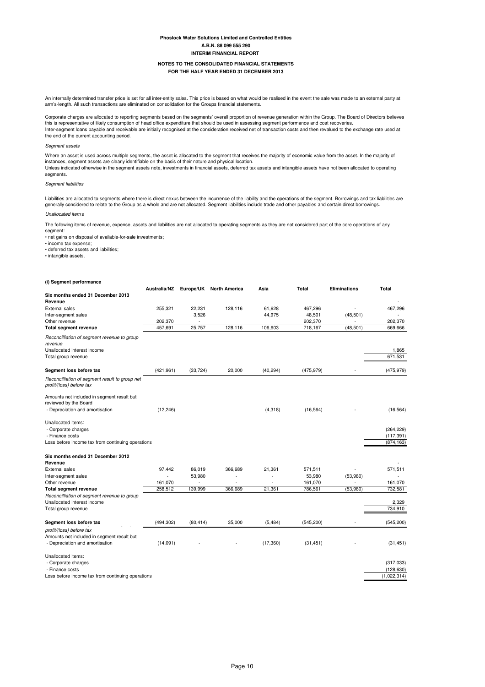## **NOTES TO THE CONSOLIDATED FINANCIAL STATEMENTS**

**FOR THE HALF YEAR ENDED 31 DECEMBER 2013**

An internally determined transfer price is set for all inter-entity sales. This price is based on what would be realised in the event the sale was made to an external party at arm's-length. All such transactions are eliminated on consolidation for the Groups financial statements.

Corporate charges are allocated to reporting segments based on the segments' overall proportion of revenue generation within the Group. The Board of Directors believes this is representative of likely consumption of head office expenditure that should be used in assessing segment performance and cost recoveries. Inter-segment loans payable and receivable are initially recognised at the consideration received net of transaction costs and then revalued to the exchange rate used at the end of the current accounting period.

#### Segment assets

Where an asset is used across multiple segments, the asset is allocated to the segment that receives the majority of economic value from the asset. In the majority of instances, segment assets are clearly identifiable on the basis of their nature and physical location.<br>Unless indicated otherwise in the segment assets note, investments in financial assets, deferred tax assets and intangi

segments.

Segment liabilities

Liabilities are allocated to segments where there is direct nexus between the incurrence of the liability and the operations of the segment. Borrowings and tax liabilities are generally considered to relate to the Group as a whole and are not allocated. Segment liabilities include trade and other payables and certain direct borrowings.

Unallocated item s

The following items of revenue, expense, assets and liabilities are not allocated to operating segments as they are not considered part of the core operations of any segment:

• net gains on disposal of available-for-sale investments;

• income tax expense;

• deferred tax assets and liabilities;

• intangible assets.

|                                                                            | Australia/NZ |           | Europe/UK North America | Asia      | Total      | <b>Eliminations</b> | Total                     |
|----------------------------------------------------------------------------|--------------|-----------|-------------------------|-----------|------------|---------------------|---------------------------|
| Six months ended 31 December 2013                                          |              |           |                         |           |            |                     |                           |
| Revenue                                                                    |              |           |                         |           |            |                     |                           |
| External sales                                                             | 255,321      | 22,231    | 128,116                 | 61,628    | 467,296    |                     | 467,296                   |
| Inter-segment sales                                                        |              | 3,526     |                         | 44,975    | 48,501     | (48, 501)           |                           |
| Other revenue                                                              | 202,370      |           |                         |           | 202,370    | $\sim$              | 202,370                   |
| <b>Total segment revenue</b>                                               | 457,691      | 25,757    | 128,116                 | 106,603   | 718,167    | (48, 501)           | 669,666                   |
| Reconcilliation of segment revenue to group                                |              |           |                         |           |            |                     |                           |
| revenue                                                                    |              |           |                         |           |            |                     |                           |
| Unallocated interest income                                                |              |           |                         |           |            |                     | 1,865                     |
| Total group revenue                                                        |              |           |                         |           |            |                     | 671,531                   |
| Segment loss before tax                                                    | (421, 961)   | (33, 724) | 20,000                  | (40, 294) | (475, 979) |                     | (475, 979)                |
| Reconcilliation of segment result to group net<br>profit/(loss) before tax |              |           |                         |           |            |                     |                           |
| Amounts not included in segment result but                                 |              |           |                         |           |            |                     |                           |
| reviewed by the Board                                                      |              |           |                         |           |            |                     |                           |
| - Depreciation and amortisation                                            | (12, 246)    |           |                         | (4,318)   | (16, 564)  |                     | (16, 564)                 |
| Unallocated items:                                                         |              |           |                         |           |            |                     |                           |
| - Corporate charges                                                        |              |           |                         |           |            |                     | (264, 229)                |
| - Finance costs                                                            |              |           |                         |           |            |                     | (117, 391)                |
| Loss before income tax from continuing operations                          |              |           |                         |           |            |                     | (874, 163)                |
| Six months ended 31 December 2012                                          |              |           |                         |           |            |                     |                           |
| Revenue                                                                    |              |           |                         |           |            |                     |                           |
| <b>External sales</b>                                                      | 97,442       | 86,019    | 366,689                 | 21.361    | 571,511    |                     | 571,511                   |
| Inter-segment sales                                                        |              | 53,980    |                         |           | 53,980     | (53,980)            |                           |
| Other revenue                                                              | 161.070      |           |                         |           | 161,070    |                     | 161,070                   |
| <b>Total segment revenue</b>                                               | 258,512      | 139,999   | 366,689                 | 21,361    | 786,561    | (53,980)            | 732,581                   |
| Reconcilliation of segment revenue to group                                |              |           |                         |           |            |                     |                           |
| Unallocated interest income                                                |              |           |                         |           |            |                     | 2,329                     |
| Total group revenue                                                        |              |           |                         |           |            |                     | 734,910                   |
| Segment loss before tax                                                    | (494, 302)   | (80, 414) | 35,000                  | (5,484)   | (545, 200) |                     | (545, 200)                |
| profit/(loss) before tax                                                   |              |           |                         |           |            |                     |                           |
| Amounts not included in segment result but                                 |              |           |                         |           |            |                     |                           |
| - Depreciation and amortisation                                            | (14,091)     |           |                         | (17, 360) | (31, 451)  |                     | (31, 451)                 |
|                                                                            |              |           |                         |           |            |                     |                           |
| Unallocated items:                                                         |              |           |                         |           |            |                     |                           |
| - Corporate charges                                                        |              |           |                         |           |            |                     | (317,033)                 |
| - Finance costs                                                            |              |           |                         |           |            |                     | (128, 630)<br>(1,022,314) |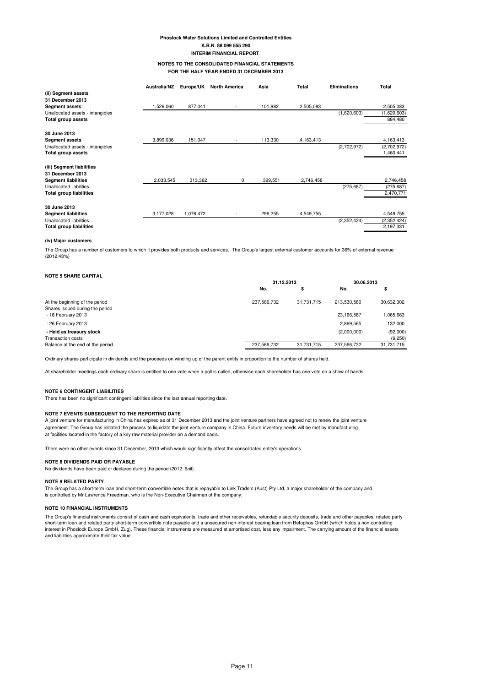#### **NOTES TO THE CONSOLIDATED FINANCIAL STATEMENTS FOR THE HALF YEAR ENDED 31 DECEMBER 2013**

|                                  | Australia/NZ | Europe/UK | <b>North America</b>     | Asia    | Total     | <b>Eliminations</b> | Total       |
|----------------------------------|--------------|-----------|--------------------------|---------|-----------|---------------------|-------------|
| (ii) Segment assets              |              |           |                          |         |           |                     |             |
| 31 December 2013                 |              |           |                          |         |           |                     |             |
| <b>Segment assets</b>            | 1,526,060    | 877,041   |                          | 101,982 | 2,505,083 |                     | 2,505,083   |
| Unallocated assets - intangibles |              |           |                          |         |           | (1,620,603)         | (1,620,603) |
| <b>Total group assets</b>        |              |           |                          |         |           |                     | 884,480     |
| 30 June 2013                     |              |           |                          |         |           |                     |             |
| <b>Segment assets</b>            | 3,899,036    | 151,047   | $\overline{\phantom{a}}$ | 113,330 | 4,163,413 |                     | 4,163,413   |
| Unallocated assets - intangibles |              |           |                          |         |           | (2,702,972)         | (2,702,972) |
| <b>Total group assets</b>        |              |           |                          |         |           |                     | 1,460,441   |
|                                  |              |           |                          |         |           |                     |             |
| (iii) Segment liabilities        |              |           |                          |         |           |                     |             |
| 31 December 2013                 |              |           |                          |         |           |                     |             |
| <b>Segment liabilities</b>       | 2,033,545    | 313,362   | 0                        | 399,551 | 2,746,458 |                     | 2,746,458   |
| Unallocated liabilities          |              |           |                          |         |           | (275, 687)          | (275, 687)  |
| <b>Total group liabilities</b>   |              |           |                          |         |           |                     | 2,470,771   |
|                                  |              |           |                          |         |           |                     |             |
| 30 June 2013                     |              |           |                          |         |           |                     |             |
| <b>Segment liabilities</b>       | 3,177,028    | 1,076,472 |                          | 296,255 | 4,549,755 |                     | 4,549,755   |
| Unallocated liabilities          |              |           |                          |         |           | (2,352,424)         | (2,352,424) |
| <b>Total group liabilities</b>   |              |           |                          |         |           |                     | 2,197,331   |

#### **(iv) Major customers**

The Group has a number of customers to which it provides both products and services. The Group's largest external customer accounts for 36% of external revenue (2012:43%)

| <b>NOTE 5 SHARE CAPITAL</b>                                                             |             |            |                           |                         |
|-----------------------------------------------------------------------------------------|-------------|------------|---------------------------|-------------------------|
|                                                                                         |             | 31.12.2013 |                           | 30.06.2013              |
|                                                                                         | No.         | э          | No.                       | \$                      |
| At the beginning of the period<br>Shares issued during the period<br>- 18 February 2013 | 237,566,732 | 31.731.715 | 213.530.580<br>23,166,587 | 30,632,302<br>1,065,663 |
| - 26 February 2013                                                                      |             |            | 2,869,565                 | 132,000                 |
| - Held as treasury stock<br><b>Transaction costs</b>                                    |             |            | (2,000,000)               | (92,000)<br>(6, 250)    |
| Balance at the end of the period                                                        | 237,566,732 | 31,731,715 | 237,566,732               | 31,731,715              |

Ordinary shares participate in dividends and the proceeds on winding up of the parent entity in proportion to the number of shares held.

At shareholder meetings each ordinary share is entitled to one vote when a poll is called, otherwise each shareholder has one vote on a show of hands.

#### **NOTE 6 CONTINGENT LIABILITIES**

There has been no significant contingent liabilities since the last annual reporting date.

#### **NOTE 7 EVENTS SUBSEQUENT TO THE REPORTING DATE**

A joint venture for manufacturing in China has expired as of 31 December 2013 and the joint venture partners have agreed not to renew the joint venture agreement. The Group has initiated the process to liquidate the joint venture company in China. Future inventory needs will be met by manufacturing at facilities located in the factory of a key raw material provider on a demand basis.

There were no other events since 31 December, 2013 which would significantly affect the consolidated entity's operations.

#### **NOTE 8 DIVIDENDS PAID OR PAYABLE**

No dividends have been paid or declared during the period (2012: \$nil).

#### **NOTE 9 RELATED PARTY**

The Group has a short-term loan and short-term convertible notes that is repayable to Link Traders (Aust) Pty Ltd, a major shareholder of the company and is controlled by Mr Lawrence Freedman, who is the Non-Executive Chairman of the company.

#### **NOTE 10 FINANCIAL INSTRUMENTS**

The Group's financial instruments consist of cash and cash equivalents, trade and other receivables, refundable security deposits, trade and other payables, related party short-term loan and related party short-term convertible note payable and a unsecured non-interest bearing loan from Betophos GmbH (which holds a non-controlling<br>interest in Phoslock Europe GmbH, Zug). These financial inst and liabilities approximate their fair value.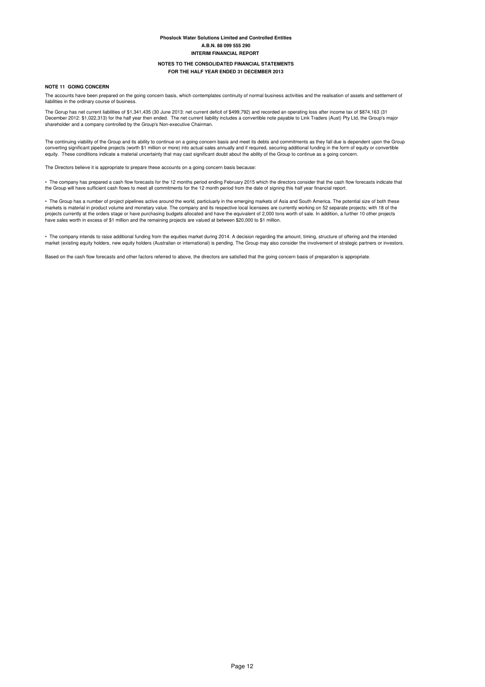#### **NOTES TO THE CONSOLIDATED FINANCIAL STATEMENTS FOR THE HALF YEAR ENDED 31 DECEMBER 2013**

#### **NOTE 11 GOING CONCERN**

The accounts have been prepared on the going concern basis, which contemplates continuity of normal business activities and the realisation of assets and settlement of liabilities in the ordinary course of business.

The Gorup has net current liabilities of \$1,341,435 (30 June 2013: net current deficit of \$499,792) and recorded an operating loss after income tax of \$874,163 (31 December 2012: \$1,022,313) for the half year then ended. The net current liability includes a convertible note payable to Link Traders (Aust) Pty Ltd, the Group's major<br>shareholder and a company controlled by the Group's N

The continuing viability of the Group and its ability to continue on a going concern basis and meet its debts and commitments as they fall due is dependent upon the Group converting significant pipeline projects (worth \$1 million or more) into actual sales annually and if required, securing additional funding in the form of equity or convertible equity. These conditions indicate a material uncertainty that may cast significant doubt about the ability of the Group to continue as a going concern.

The Directors believe it is appropriate to prepare these accounts on a going concern basis because:

• The company has prepared a cash flow forecasts for the 12 months period ending February 2015 which the directors consider that the cash flow forecasts indicate that the Group will have sufficient cash flows to meet all commitments for the 12 month period from the date of signing this half year financial report.

• The Group has a number of project pipelines active around the world, particluarly in the emerging markets of Asia and South America. The potential size of both these markets is material in product volume and monetary value. The company and its respective local licensees are currently working on 52 separate projects; with 18 of the<br>projects currently at the orders stage or have purchasi have sales worth in excess of \$1 million and the remaining projects are valued at between \$20,000 to \$1 million.

• The company intends to raise additional funding from the equities market during 2014. A decision regarding the amount, timing, structure of offering and the intended market (existing equity holders, new equity holders (Australian or international) is pending. The Group may also consider the involvement of strategic partners or investors.

Based on the cash flow forecasts and other factors referred to above, the directors are satisfied that the going concern basis of preparation is appropriate.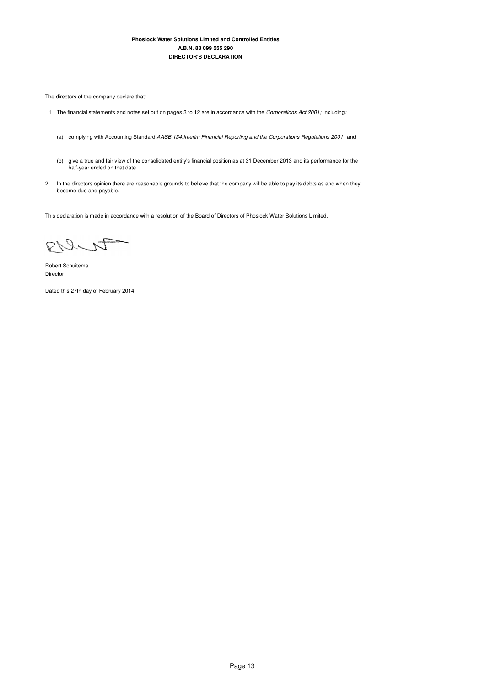The directors of the company declare that:

- 1 The financial statements and notes set out on pages 3 to 12 are in accordance with the Corporations Act 2001; including:
	- (a) complying with Accounting Standard AASB 134:Interim Financial Reporting and the Corporations Regulations 2001; and
	- (b) give a true and fair view of the consolidated entity's financial position as at 31 December 2013 and its performance for the half-year ended on that date.
- 2 In the directors opinion there are reasonable grounds to believe that the company will be able to pay its debts as and when they become due and payable.

This declaration is made in accordance with a resolution of the Board of Directors of Phoslock Water Solutions Limited.

PILIT

Robert Schuitema Director

Dated this 27th day of February 2014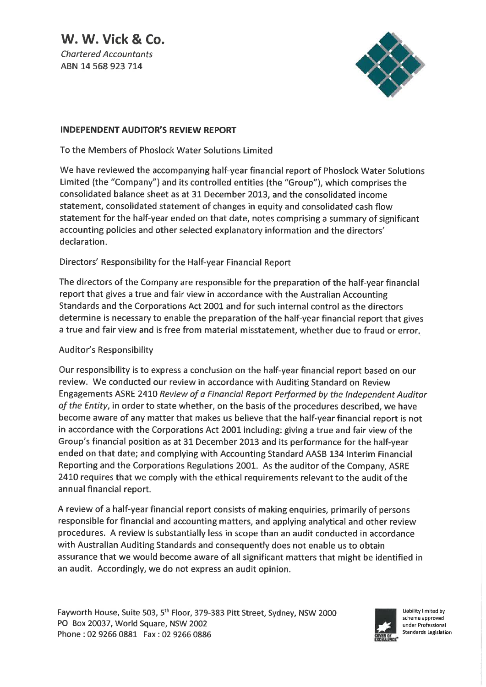W. W. Vick & Co. **Chartered Accountants** ABN 14 568 923 714



## **INDEPENDENT AUDITOR'S REVIEW REPORT**

To the Members of Phoslock Water Solutions Limited

We have reviewed the accompanying half-year financial report of Phoslock Water Solutions Limited (the "Company") and its controlled entities (the "Group"), which comprises the consolidated balance sheet as at 31 December 2013, and the consolidated income statement, consolidated statement of changes in equity and consolidated cash flow statement for the half-year ended on that date, notes comprising a summary of significant accounting policies and other selected explanatory information and the directors' declaration.

## Directors' Responsibility for the Half-year Financial Report

The directors of the Company are responsible for the preparation of the half-year financial report that gives a true and fair view in accordance with the Australian Accounting Standards and the Corporations Act 2001 and for such internal control as the directors determine is necessary to enable the preparation of the half-year financial report that gives a true and fair view and is free from material misstatement, whether due to fraud or error.

## **Auditor's Responsibility**

Our responsibility is to express a conclusion on the half-year financial report based on our review. We conducted our review in accordance with Auditing Standard on Review Engagements ASRE 2410 Review of a Financial Report Performed by the Independent Auditor of the Entity, in order to state whether, on the basis of the procedures described, we have become aware of any matter that makes us believe that the half-year financial report is not in accordance with the Corporations Act 2001 including: giving a true and fair view of the Group's financial position as at 31 December 2013 and its performance for the half-year ended on that date; and complying with Accounting Standard AASB 134 Interim Financial Reporting and the Corporations Regulations 2001. As the auditor of the Company, ASRE 2410 requires that we comply with the ethical requirements relevant to the audit of the annual financial report.

A review of a half-year financial report consists of making enquiries, primarily of persons responsible for financial and accounting matters, and applying analytical and other review procedures. A review is substantially less in scope than an audit conducted in accordance with Australian Auditing Standards and consequently does not enable us to obtain assurance that we would become aware of all significant matters that might be identified in an audit. Accordingly, we do not express an audit opinion.

Fayworth House, Suite 503, 5<sup>th</sup> Floor, 379-383 Pitt Street, Sydney, NSW 2000 PO Box 20037, World Square, NSW 2002 Phone: 02 9266 0881 Fax: 02 9266 0886



Liability limited by scheme approved under Professional Standards Legislation